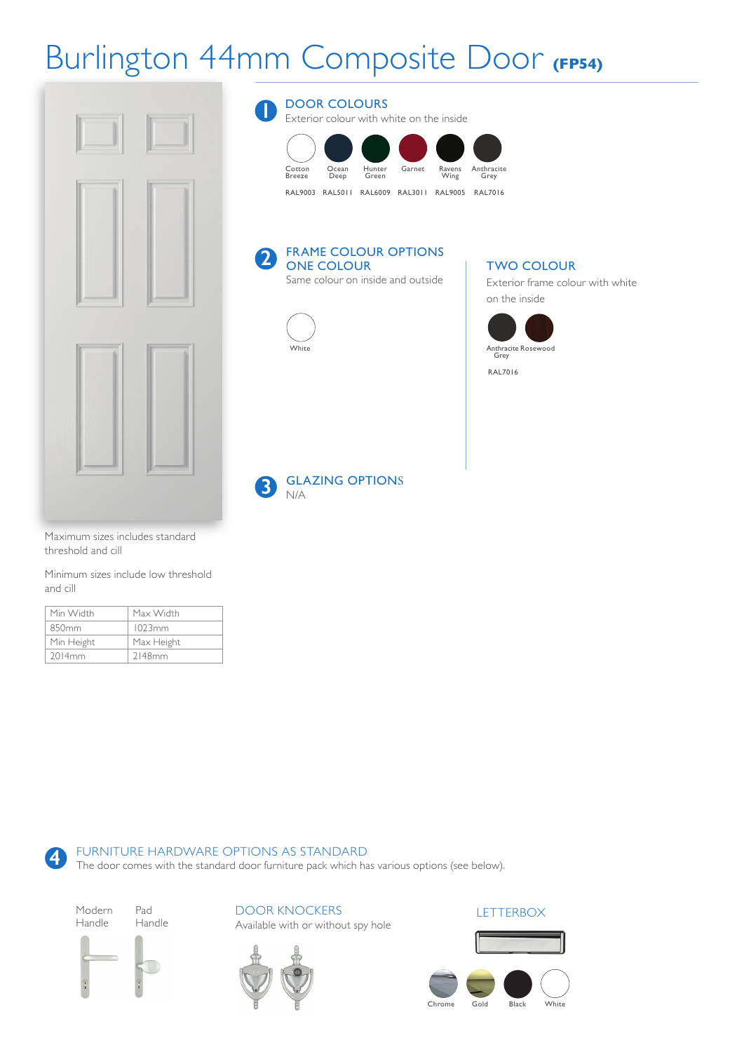## Burlington 44mm Composite Door **(FP54)**



Maximum sizes includes standard threshold and cill

Minimum sizes include low threshold and cill

| Min Width          | Max Width  |
|--------------------|------------|
| 850 <sub>mm</sub>  | 1023mm     |
| Min Height         | Max Height |
| 2014 <sub>mm</sub> | 2148mm     |

DOOR COLOURS **1**

Exterior colour with white on the inside



#### FRAME COLOUR OPTIONS ONE COLOUR **2**

Same colour on inside and outside



### TWO COLOUR

Exterior frame colour with white on the inside



N/A **3**

GLAZING OPTIONS

### FURNITURE HARDWARE OPTIONS AS STANDARD

The door comes with the standard door furniture pack which has various options (see below).

DOOR KNOCKERS

Available with or without spy hole

Modern Handle Pad

**4**

Handle





### **LETTERBOX**